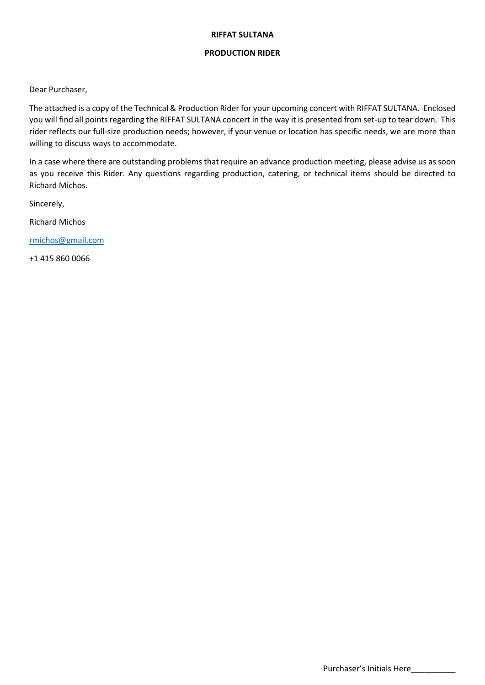#### RIFFAT SULTANA

## PRODUCTION RIDER

Dear Purchaser,

The attached is a copy of the Technical & Production Rider for your upcoming concert with RIFFAT SULTANA. Enclosed you will find all points regarding the RIFFAT SULTANA concert in the way it is presented from set-up to tear down. This rider reflects our full-size production needs; however, if your venue or location has specific needs, we are more than willing to discuss ways to accommodate.

In a case where there are outstanding problems that require an advance production meeting, please advise us as soon as you receive this Rider. Any questions regarding production, catering, or technical items should be directed to Richard Michos.

Sincerely,

Richard Michos

rmichos@gmail.com

+1 415 860 0066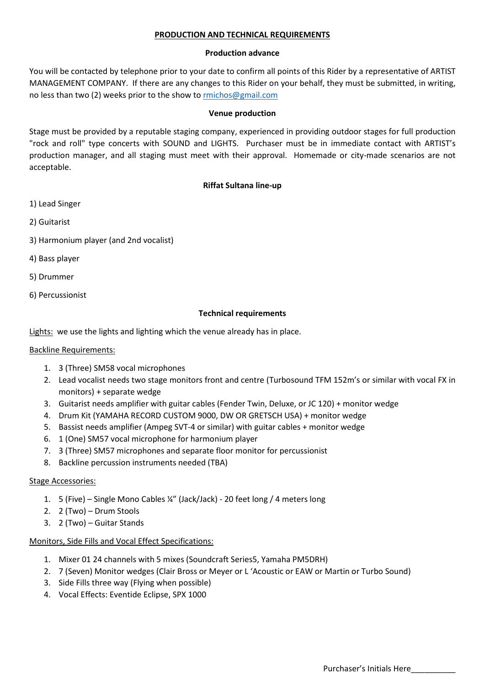## PRODUCTION AND TECHNICAL REQUIREMENTS

#### Production advance

You will be contacted by telephone prior to your date to confirm all points of this Rider by a representative of ARTIST MANAGEMENT COMPANY. If there are any changes to this Rider on your behalf, they must be submitted, in writing, no less than two (2) weeks prior to the show to rmichos@gmail.com

#### Venue production

Stage must be provided by a reputable staging company, experienced in providing outdoor stages for full production "rock and roll" type concerts with SOUND and LIGHTS. Purchaser must be in immediate contact with ARTIST's production manager, and all staging must meet with their approval. Homemade or city-made scenarios are not acceptable.

# Riffat Sultana line-up

- 1) Lead Singer
- 2) Guitarist
- 3) Harmonium player (and 2nd vocalist)
- 4) Bass player
- 5) Drummer
- 6) Percussionist

## Technical requirements

Lights: we use the lights and lighting which the venue already has in place.

#### Backline Requirements:

- 1. 3 (Three) SM58 vocal microphones
- 2. Lead vocalist needs two stage monitors front and centre (Turbosound TFM 152m's or similar with vocal FX in monitors) + separate wedge
- 3. Guitarist needs amplifier with guitar cables (Fender Twin, Deluxe, or JC 120) + monitor wedge
- 4. Drum Kit (YAMAHA RECORD CUSTOM 9000, DW OR GRETSCH USA) + monitor wedge
- 5. Bassist needs amplifier (Ampeg SVT-4 or similar) with guitar cables + monitor wedge
- 6. 1 (One) SM57 vocal microphone for harmonium player
- 7. 3 (Three) SM57 microphones and separate floor monitor for percussionist
- 8. Backline percussion instruments needed (TBA)

# Stage Accessories:

- 1. 5 (Five) Single Mono Cables ¼" (Jack/Jack) 20 feet long / 4 meters long
- 2. 2 (Two) Drum Stools
- 3. 2 (Two) Guitar Stands

# Monitors, Side Fills and Vocal Effect Specifications:

- 1. Mixer 01 24 channels with 5 mixes (Soundcraft Series5, Yamaha PM5DRH)
- 2. 7 (Seven) Monitor wedges (Clair Bross or Meyer or L 'Acoustic or EAW or Martin or Turbo Sound)
- 3. Side Fills three way (Flying when possible)
- 4. Vocal Effects: Eventide Eclipse, SPX 1000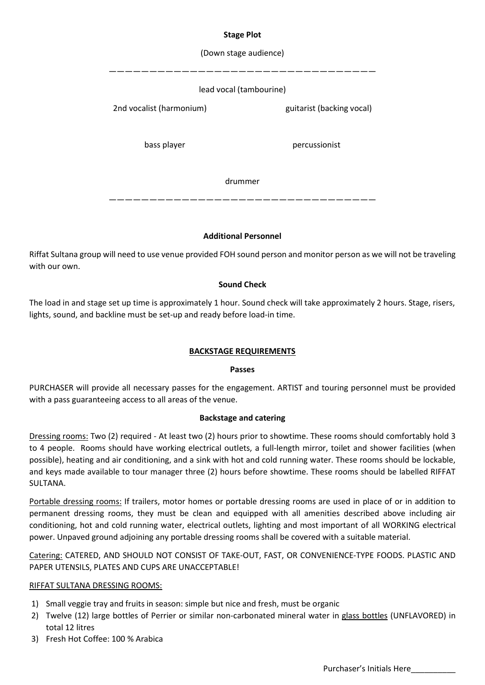## Stage Plot

## (Down stage audience)

#### —————————————————————————————————

#### lead vocal (tambourine)

2nd vocalist (harmonium) guitarist (backing vocal)

bass player percussionist

drummer

—————————————————————————————————

#### Additional Personnel

Riffat Sultana group will need to use venue provided FOH sound person and monitor person as we will not be traveling with our own.

## Sound Check

The load in and stage set up time is approximately 1 hour. Sound check will take approximately 2 hours. Stage, risers, lights, sound, and backline must be set-up and ready before load-in time.

#### BACKSTAGE REQUIREMENTS

#### Passes

PURCHASER will provide all necessary passes for the engagement. ARTIST and touring personnel must be provided with a pass guaranteeing access to all areas of the venue.

#### Backstage and catering

Dressing rooms: Two (2) required - At least two (2) hours prior to showtime. These rooms should comfortably hold 3 to 4 people. Rooms should have working electrical outlets, a full-length mirror, toilet and shower facilities (when possible), heating and air conditioning, and a sink with hot and cold running water. These rooms should be lockable, and keys made available to tour manager three (2) hours before showtime. These rooms should be labelled RIFFAT SULTANA.

Portable dressing rooms: If trailers, motor homes or portable dressing rooms are used in place of or in addition to permanent dressing rooms, they must be clean and equipped with all amenities described above including air conditioning, hot and cold running water, electrical outlets, lighting and most important of all WORKING electrical power. Unpaved ground adjoining any portable dressing rooms shall be covered with a suitable material.

Catering: CATERED, AND SHOULD NOT CONSIST OF TAKE-OUT, FAST, OR CONVENIENCE-TYPE FOODS. PLASTIC AND PAPER UTENSILS, PLATES AND CUPS ARE UNACCEPTABLE!

#### RIFFAT SULTANA DRESSING ROOMS:

- 1) Small veggie tray and fruits in season: simple but nice and fresh, must be organic
- 2) Twelve (12) large bottles of Perrier or similar non-carbonated mineral water in glass bottles (UNFLAVORED) in total 12 litres
- 3) Fresh Hot Coffee: 100 % Arabica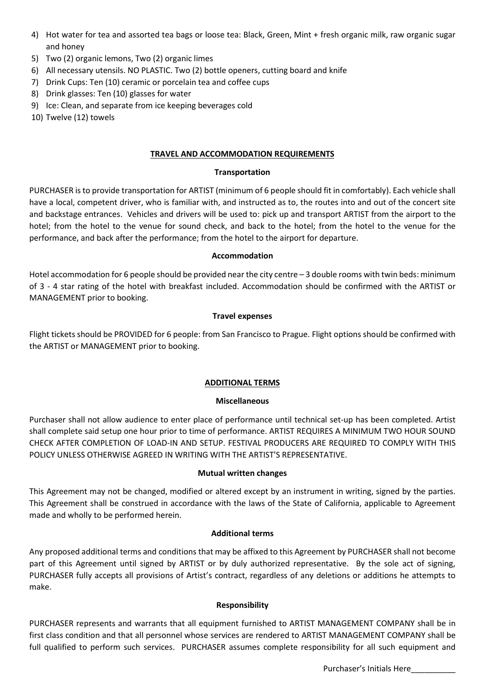- 4) Hot water for tea and assorted tea bags or loose tea: Black, Green, Mint + fresh organic milk, raw organic sugar and honey
- 5) Two (2) organic lemons, Two (2) organic limes
- 6) All necessary utensils. NO PLASTIC. Two (2) bottle openers, cutting board and knife
- 7) Drink Cups: Ten (10) ceramic or porcelain tea and coffee cups
- 8) Drink glasses: Ten (10) glasses for water
- 9) Ice: Clean, and separate from ice keeping beverages cold
- 10) Twelve (12) towels

# TRAVEL AND ACCOMMODATION REQUIREMENTS

#### Transportation

PURCHASER is to provide transportation for ARTIST (minimum of 6 people should fit in comfortably). Each vehicle shall have a local, competent driver, who is familiar with, and instructed as to, the routes into and out of the concert site and backstage entrances. Vehicles and drivers will be used to: pick up and transport ARTIST from the airport to the hotel; from the hotel to the venue for sound check, and back to the hotel; from the hotel to the venue for the performance, and back after the performance; from the hotel to the airport for departure.

## Accommodation

Hotel accommodation for 6 people should be provided near the city centre - 3 double rooms with twin beds: minimum of 3 - 4 star rating of the hotel with breakfast included. Accommodation should be confirmed with the ARTIST or MANAGEMENT prior to booking.

## Travel expenses

Flight tickets should be PROVIDED for 6 people: from San Francisco to Prague. Flight options should be confirmed with the ARTIST or MANAGEMENT prior to booking.

# ADDITIONAL TERMS

# Miscellaneous

Purchaser shall not allow audience to enter place of performance until technical set-up has been completed. Artist shall complete said setup one hour prior to time of performance. ARTIST REQUIRES A MINIMUM TWO HOUR SOUND CHECK AFTER COMPLETION OF LOAD-IN AND SETUP. FESTIVAL PRODUCERS ARE REQUIRED TO COMPLY WITH THIS POLICY UNLESS OTHERWISE AGREED IN WRITING WITH THE ARTIST'S REPRESENTATIVE.

#### Mutual written changes

This Agreement may not be changed, modified or altered except by an instrument in writing, signed by the parties. This Agreement shall be construed in accordance with the laws of the State of California, applicable to Agreement made and wholly to be performed herein.

#### Additional terms

Any proposed additional terms and conditions that may be affixed to this Agreement by PURCHASER shall not become part of this Agreement until signed by ARTIST or by duly authorized representative. By the sole act of signing, PURCHASER fully accepts all provisions of Artist's contract, regardless of any deletions or additions he attempts to make.

# Responsibility

PURCHASER represents and warrants that all equipment furnished to ARTIST MANAGEMENT COMPANY shall be in first class condition and that all personnel whose services are rendered to ARTIST MANAGEMENT COMPANY shall be full qualified to perform such services. PURCHASER assumes complete responsibility for all such equipment and